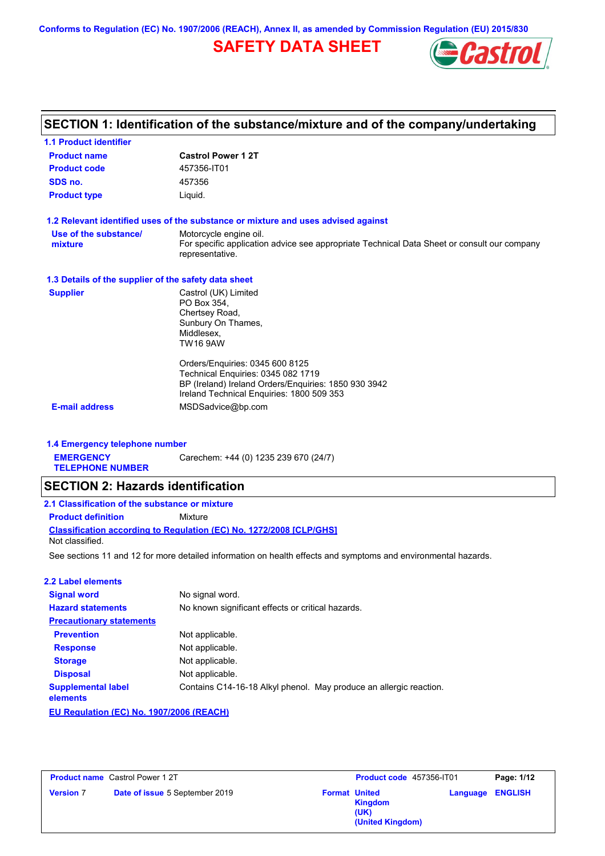**Conforms to Regulation (EC) No. 1907/2006 (REACH), Annex II, as amended by Commission Regulation (EU) 2015/830**

## **SAFETY DATA SHEET**



|                                                      | SECTION 1: Identification of the substance/mixture and of the company/undertaking                                                                                          |
|------------------------------------------------------|----------------------------------------------------------------------------------------------------------------------------------------------------------------------------|
| <b>1.1 Product identifier</b>                        |                                                                                                                                                                            |
| <b>Product name</b>                                  | <b>Castrol Power 12T</b>                                                                                                                                                   |
| <b>Product code</b>                                  | 457356-IT01                                                                                                                                                                |
| SDS no.                                              | 457356                                                                                                                                                                     |
| <b>Product type</b>                                  | Liquid.                                                                                                                                                                    |
|                                                      | 1.2 Relevant identified uses of the substance or mixture and uses advised against                                                                                          |
| Use of the substance/<br>mixture                     | Motorcycle engine oil.<br>For specific application advice see appropriate Technical Data Sheet or consult our company<br>representative.                                   |
| 1.3 Details of the supplier of the safety data sheet |                                                                                                                                                                            |
| <b>Supplier</b>                                      | Castrol (UK) Limited<br>PO Box 354,<br>Chertsey Road,<br>Sunbury On Thames,<br>Middlesex,<br><b>TW16 9AW</b>                                                               |
|                                                      | Orders/Enquiries: 0345 600 8125<br>Technical Enquiries: 0345 082 1719<br>BP (Ireland) Ireland Orders/Enquiries: 1850 930 3942<br>Ireland Technical Enquiries: 1800 509 353 |
| <b>E-mail address</b>                                | MSDSadvice@bp.com                                                                                                                                                          |
| 1.4 Emergency telephone number                       |                                                                                                                                                                            |
| <b>EMERGENCY</b><br><b>TELEPHONE NUMBER</b>          | Carechem: +44 (0) 1235 239 670 (24/7)                                                                                                                                      |
| <b>SECTION 2: Hazards identification</b>             |                                                                                                                                                                            |
| 2.1 Classification of the substance or mixture       |                                                                                                                                                                            |
| <b>Product definition</b>                            | Mixture                                                                                                                                                                    |
| Not classified.                                      | Classification according to Regulation (EC) No. 1272/2008 [CLP/GHS]                                                                                                        |
|                                                      | See sections 11 and 12 for more detailed information on health effects and symptoms and environmental hazards.                                                             |
| <b>2.2 Label elements</b>                            |                                                                                                                                                                            |
| <b>Signal word</b>                                   | No signal word.                                                                                                                                                            |
| <b>Hazard statements</b>                             | No known significant effects or critical hazards.                                                                                                                          |
| <b>Precautionary statements</b>                      |                                                                                                                                                                            |
| <b>Prevention</b>                                    | Not applicable.                                                                                                                                                            |
| <b>Response</b>                                      | Not applicable.                                                                                                                                                            |

Contains C14-16-18 Alkyl phenol. May produce an allergic reaction.

Not applicable. Not applicable.

**Storage Disposal**

**elements**

**Supplemental label** 

**EU Regulation (EC) No. 1907/2006 (REACH)**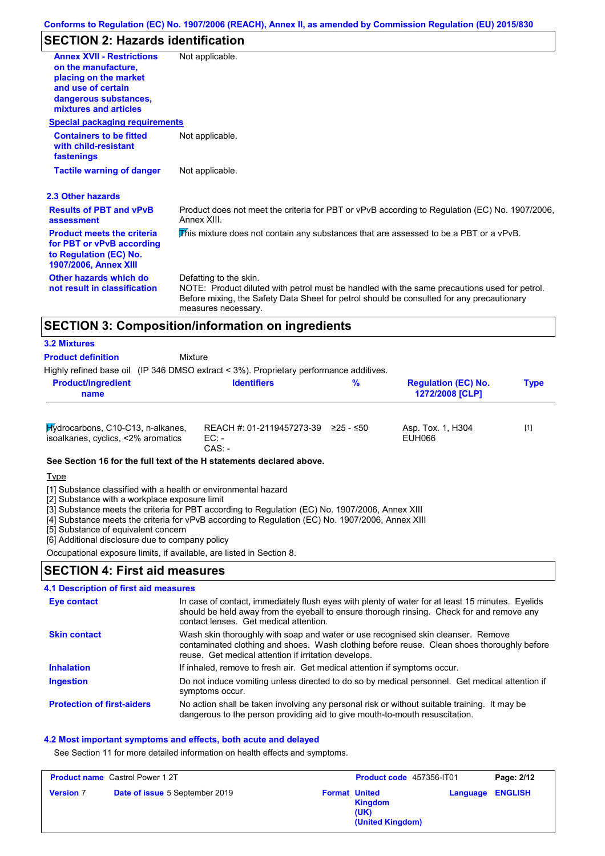## **SECTION 2: Hazards identification**

| <b>Annex XVII - Restrictions</b><br>on the manufacture.<br>placing on the market<br>and use of certain<br>dangerous substances,<br>mixtures and articles | Not applicable.                                                                                                                                                                                                                            |
|----------------------------------------------------------------------------------------------------------------------------------------------------------|--------------------------------------------------------------------------------------------------------------------------------------------------------------------------------------------------------------------------------------------|
| <b>Special packaging requirements</b>                                                                                                                    |                                                                                                                                                                                                                                            |
| <b>Containers to be fitted</b><br>with child-resistant<br>fastenings                                                                                     | Not applicable.                                                                                                                                                                                                                            |
| <b>Tactile warning of danger</b>                                                                                                                         | Not applicable.                                                                                                                                                                                                                            |
| 2.3 Other hazards                                                                                                                                        |                                                                                                                                                                                                                                            |
| <b>Results of PBT and vPvB</b><br>assessment                                                                                                             | Product does not meet the criteria for PBT or vPvB according to Regulation (EC) No. 1907/2006,<br>Annex XIII                                                                                                                               |
| <b>Product meets the criteria</b><br>for PBT or vPvB according<br>to Regulation (EC) No.<br>1907/2006, Annex XIII                                        | This mixture does not contain any substances that are assessed to be a PBT or a vPvB.                                                                                                                                                      |
| Other hazards which do<br>not result in classification                                                                                                   | Defatting to the skin.<br>NOTE: Product diluted with petrol must be handled with the same precautions used for petrol.<br>Before mixing, the Safety Data Sheet for petrol should be consulted for any precautionary<br>measures necessary. |

#### **Product definition**

Highly refined base oil (IP 346 DMSO extract < 3%). Proprietary performance additives.

**Mixture** 

| <b>Product/ingredient</b><br>name                                       | <b>Identifiers</b>                                         | % | <b>Regulation (EC) No.</b><br><b>1272/2008 [CLP]</b> | Type  |
|-------------------------------------------------------------------------|------------------------------------------------------------|---|------------------------------------------------------|-------|
| Hydrocarbons, C10-C13, n-alkanes,<br>isoalkanes, cyclics, <2% aromatics | REACH #: 01-2119457273-39 $\geq$ 25 - $\leq$ 50<br>$EC:$ - |   | Asp. Tox. 1, H304<br>EUH066                          | $[1]$ |

CAS: -

**See Section 16 for the full text of the H statements declared above.**

Type

[1] Substance classified with a health or environmental hazard

[2] Substance with a workplace exposure limit

[3] Substance meets the criteria for PBT according to Regulation (EC) No. 1907/2006, Annex XIII

[4] Substance meets the criteria for vPvB according to Regulation (EC) No. 1907/2006, Annex XIII

[5] Substance of equivalent concern

[6] Additional disclosure due to company policy

Occupational exposure limits, if available, are listed in Section 8.

## **SECTION 4: First aid measures**

#### Do not induce vomiting unless directed to do so by medical personnel. Get medical attention if symptoms occur. In case of contact, immediately flush eyes with plenty of water for at least 15 minutes. Eyelids should be held away from the eyeball to ensure thorough rinsing. Check for and remove any contact lenses. Get medical attention. **4.1 Description of first aid measures** If inhaled, remove to fresh air. Get medical attention if symptoms occur. **Ingestion Inhalation Eye contact Protection of first-aiders** No action shall be taken involving any personal risk or without suitable training. It may be dangerous to the person providing aid to give mouth-to-mouth resuscitation. **Skin contact** Wash skin thoroughly with soap and water or use recognised skin cleanser. Remove contaminated clothing and shoes. Wash clothing before reuse. Clean shoes thoroughly before reuse. Get medical attention if irritation develops.

#### **4.2 Most important symptoms and effects, both acute and delayed**

See Section 11 for more detailed information on health effects and symptoms.

| <b>Product name</b> Castrol Power 1 2T |                                | <b>Product code</b> 457356-IT01 |                                            | Page: 2/12              |  |
|----------------------------------------|--------------------------------|---------------------------------|--------------------------------------------|-------------------------|--|
| <b>Version 7</b>                       | Date of issue 5 September 2019 | <b>Format United</b>            | <b>Kingdom</b><br>(UK)<br>(United Kingdom) | <b>Language ENGLISH</b> |  |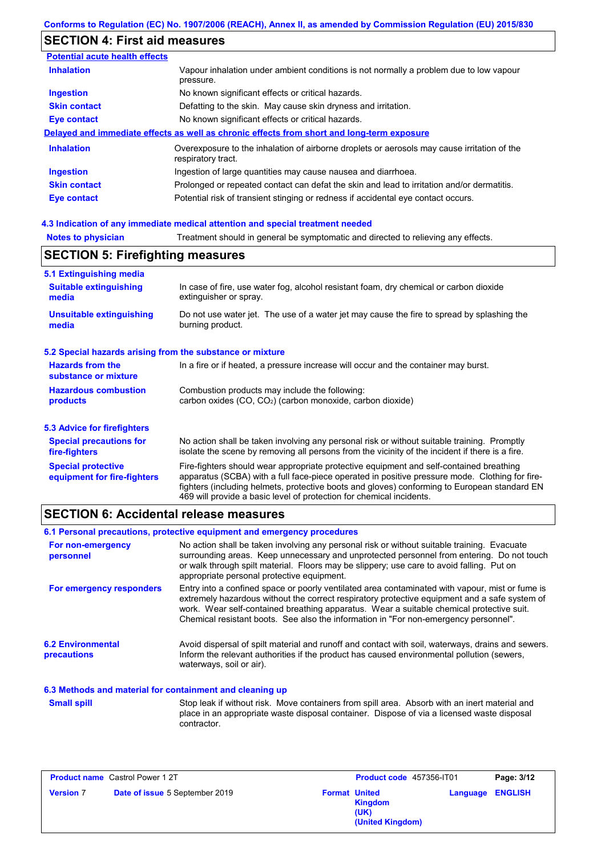## **SECTION 4: First aid measures**

| <b>Potential acute health effects</b> |                                                                                                                   |  |  |  |
|---------------------------------------|-------------------------------------------------------------------------------------------------------------------|--|--|--|
| <b>Inhalation</b>                     | Vapour inhalation under ambient conditions is not normally a problem due to low vapour<br>pressure.               |  |  |  |
| <b>Ingestion</b>                      | No known significant effects or critical hazards.                                                                 |  |  |  |
| <b>Skin contact</b>                   | Defatting to the skin. May cause skin dryness and irritation.                                                     |  |  |  |
| Eye contact                           | No known significant effects or critical hazards.                                                                 |  |  |  |
|                                       | Delayed and immediate effects as well as chronic effects from short and long-term exposure                        |  |  |  |
| <b>Inhalation</b>                     | Overexposure to the inhalation of airborne droplets or aerosols may cause irritation of the<br>respiratory tract. |  |  |  |
| <b>Ingestion</b>                      | Ingestion of large quantities may cause nausea and diarrhoea.                                                     |  |  |  |
| <b>Skin contact</b>                   | Prolonged or repeated contact can defat the skin and lead to irritation and/or dermatitis.                        |  |  |  |
| Eye contact                           | Potential risk of transient stinging or redness if accidental eye contact occurs.                                 |  |  |  |

### **4.3 Indication of any immediate medical attention and special treatment needed**

| <b>Notes to physician</b>                                 | Treatment should in general be symptomatic and directed to relieving any effects.                                                                                                                                                                                                                                                                                 |  |  |  |
|-----------------------------------------------------------|-------------------------------------------------------------------------------------------------------------------------------------------------------------------------------------------------------------------------------------------------------------------------------------------------------------------------------------------------------------------|--|--|--|
| <b>SECTION 5: Firefighting measures</b>                   |                                                                                                                                                                                                                                                                                                                                                                   |  |  |  |
| 5.1 Extinguishing media                                   |                                                                                                                                                                                                                                                                                                                                                                   |  |  |  |
| <b>Suitable extinguishing</b><br>media                    | In case of fire, use water fog, alcohol resistant foam, dry chemical or carbon dioxide<br>extinguisher or spray.                                                                                                                                                                                                                                                  |  |  |  |
| <b>Unsuitable extinguishing</b><br>media                  | Do not use water jet. The use of a water jet may cause the fire to spread by splashing the<br>burning product.                                                                                                                                                                                                                                                    |  |  |  |
| 5.2 Special hazards arising from the substance or mixture |                                                                                                                                                                                                                                                                                                                                                                   |  |  |  |
| <b>Hazards from the</b><br>substance or mixture           | In a fire or if heated, a pressure increase will occur and the container may burst.                                                                                                                                                                                                                                                                               |  |  |  |
| <b>Hazardous combustion</b><br>products                   | Combustion products may include the following:<br>carbon oxides (CO, CO <sub>2</sub> ) (carbon monoxide, carbon dioxide)                                                                                                                                                                                                                                          |  |  |  |
| 5.3 Advice for firefighters                               |                                                                                                                                                                                                                                                                                                                                                                   |  |  |  |
| <b>Special precautions for</b><br>fire-fighters           | No action shall be taken involving any personal risk or without suitable training. Promptly<br>isolate the scene by removing all persons from the vicinity of the incident if there is a fire.                                                                                                                                                                    |  |  |  |
| <b>Special protective</b><br>equipment for fire-fighters  | Fire-fighters should wear appropriate protective equipment and self-contained breathing<br>apparatus (SCBA) with a full face-piece operated in positive pressure mode. Clothing for fire-<br>fighters (including helmets, protective boots and gloves) conforming to European standard EN<br>469 will provide a basic level of protection for chemical incidents. |  |  |  |

## **SECTION 6: Accidental release measures**

|                                                          | 6.1 Personal precautions, protective equipment and emergency procedures                                                                                                                                                                                                                                                                                                              |
|----------------------------------------------------------|--------------------------------------------------------------------------------------------------------------------------------------------------------------------------------------------------------------------------------------------------------------------------------------------------------------------------------------------------------------------------------------|
| For non-emergency<br>personnel                           | No action shall be taken involving any personal risk or without suitable training. Evacuate<br>surrounding areas. Keep unnecessary and unprotected personnel from entering. Do not touch<br>or walk through spilt material. Floors may be slippery; use care to avoid falling. Put on<br>appropriate personal protective equipment.                                                  |
| For emergency responders                                 | Entry into a confined space or poorly ventilated area contaminated with vapour, mist or fume is<br>extremely hazardous without the correct respiratory protective equipment and a safe system of<br>work. Wear self-contained breathing apparatus. Wear a suitable chemical protective suit.<br>Chemical resistant boots. See also the information in "For non-emergency personnel". |
| <b>6.2 Environmental</b><br>precautions                  | Avoid dispersal of spilt material and runoff and contact with soil, waterways, drains and sewers.<br>Inform the relevant authorities if the product has caused environmental pollution (sewers,<br>waterways, soil or air).                                                                                                                                                          |
| 6.3 Methods and material for containment and cleaning up |                                                                                                                                                                                                                                                                                                                                                                                      |

Stop leak if without risk. Move containers from spill area. Absorb with an inert material and place in an appropriate waste disposal container. Dispose of via a licensed waste disposal contractor. **Small spill**

| <b>Product name</b> Castrol Power 1 2T |                                       | Product code 457356-IT01 |                                            | Page: 3/12              |  |
|----------------------------------------|---------------------------------------|--------------------------|--------------------------------------------|-------------------------|--|
| <b>Version 7</b>                       | <b>Date of issue 5 September 2019</b> | <b>Format United</b>     | <b>Kingdom</b><br>(UK)<br>(United Kingdom) | <b>Language ENGLISH</b> |  |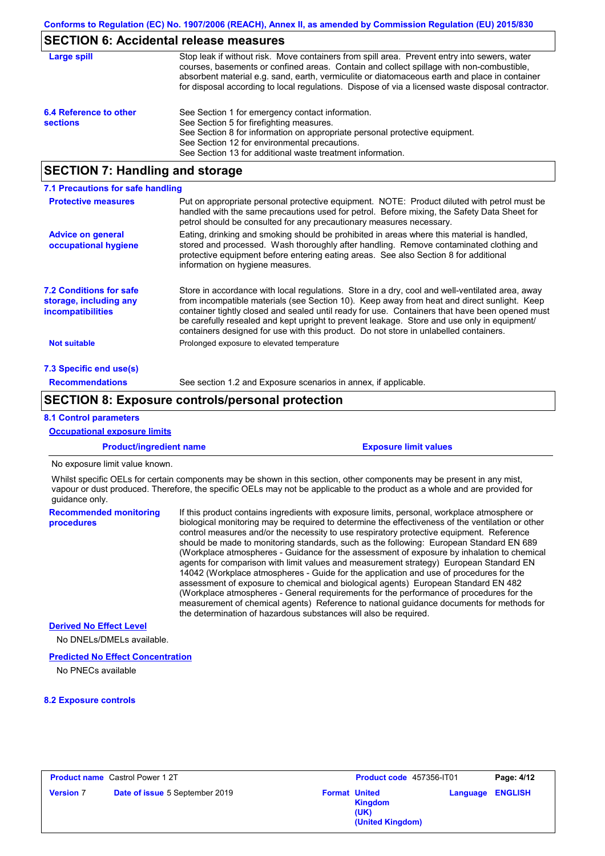## **SECTION 6: Accidental release measures**

| Large spill                               | Stop leak if without risk. Move containers from spill area. Prevent entry into sewers, water<br>courses, basements or confined areas. Contain and collect spillage with non-combustible,<br>absorbent material e.g. sand, earth, vermiculite or diatomaceous earth and place in container<br>for disposal according to local regulations. Dispose of via a licensed waste disposal contractor. |
|-------------------------------------------|------------------------------------------------------------------------------------------------------------------------------------------------------------------------------------------------------------------------------------------------------------------------------------------------------------------------------------------------------------------------------------------------|
| 6.4 Reference to other<br><b>sections</b> | See Section 1 for emergency contact information.<br>See Section 5 for firefighting measures.<br>See Section 8 for information on appropriate personal protective equipment.<br>See Section 12 for environmental precautions.<br>See Section 13 for additional waste treatment information.                                                                                                     |

## **SECTION 7: Handling and storage**

| 7.1 Precautions for safe handling                                             |                                                                                                                                                                                                                                                                                                                                                                                                                                                                                          |  |  |  |
|-------------------------------------------------------------------------------|------------------------------------------------------------------------------------------------------------------------------------------------------------------------------------------------------------------------------------------------------------------------------------------------------------------------------------------------------------------------------------------------------------------------------------------------------------------------------------------|--|--|--|
| <b>Protective measures</b>                                                    | Put on appropriate personal protective equipment. NOTE: Product diluted with petrol must be<br>handled with the same precautions used for petrol. Before mixing, the Safety Data Sheet for<br>petrol should be consulted for any precautionary measures necessary.                                                                                                                                                                                                                       |  |  |  |
| <b>Advice on general</b><br>occupational hygiene                              | Eating, drinking and smoking should be prohibited in areas where this material is handled,<br>stored and processed. Wash thoroughly after handling. Remove contaminated clothing and<br>protective equipment before entering eating areas. See also Section 8 for additional<br>information on hygiene measures.                                                                                                                                                                         |  |  |  |
| <b>7.2 Conditions for safe</b><br>storage, including any<br>incompatibilities | Store in accordance with local regulations. Store in a dry, cool and well-ventilated area, away<br>from incompatible materials (see Section 10). Keep away from heat and direct sunlight. Keep<br>container tightly closed and sealed until ready for use. Containers that have been opened must<br>be carefully resealed and kept upright to prevent leakage. Store and use only in equipment/<br>containers designed for use with this product. Do not store in unlabelled containers. |  |  |  |
| <b>Not suitable</b>                                                           | Prolonged exposure to elevated temperature                                                                                                                                                                                                                                                                                                                                                                                                                                               |  |  |  |
| 7.3 Specific end use(s)                                                       |                                                                                                                                                                                                                                                                                                                                                                                                                                                                                          |  |  |  |
| <b>Recommendations</b>                                                        | See section 1.2 and Exposure scenarios in annex, if applicable.                                                                                                                                                                                                                                                                                                                                                                                                                          |  |  |  |

## **SECTION 8: Exposure controls/personal protection**

#### **8.1 Control parameters**

**Occupational exposure limits**

#### **Product/ingredient name Exposure limit values**

No exposure limit value known.

Whilst specific OELs for certain components may be shown in this section, other components may be present in any mist, vapour or dust produced. Therefore, the specific OELs may not be applicable to the product as a whole and are provided for guidance only.

**Recommended monitoring procedures** If this product contains ingredients with exposure limits, personal, workplace atmosphere or biological monitoring may be required to determine the effectiveness of the ventilation or other control measures and/or the necessity to use respiratory protective equipment. Reference should be made to monitoring standards, such as the following: European Standard EN 689 (Workplace atmospheres - Guidance for the assessment of exposure by inhalation to chemical agents for comparison with limit values and measurement strategy) European Standard EN 14042 (Workplace atmospheres - Guide for the application and use of procedures for the assessment of exposure to chemical and biological agents) European Standard EN 482 (Workplace atmospheres - General requirements for the performance of procedures for the measurement of chemical agents) Reference to national guidance documents for methods for the determination of hazardous substances will also be required.

### **Derived No Effect Level**

No DNELs/DMELs available.

#### **Predicted No Effect Concentration**

No PNECs available

#### **8.2 Exposure controls**

| <b>Product name</b> Castrol Power 1 2T |                                | Product code 457356-IT01 |                                                                    | Page: 4/12              |  |
|----------------------------------------|--------------------------------|--------------------------|--------------------------------------------------------------------|-------------------------|--|
| <b>Version 7</b>                       | Date of issue 5 September 2019 |                          | <b>Format United</b><br><b>Kingdom</b><br>(UK)<br>(United Kingdom) | <b>Language ENGLISH</b> |  |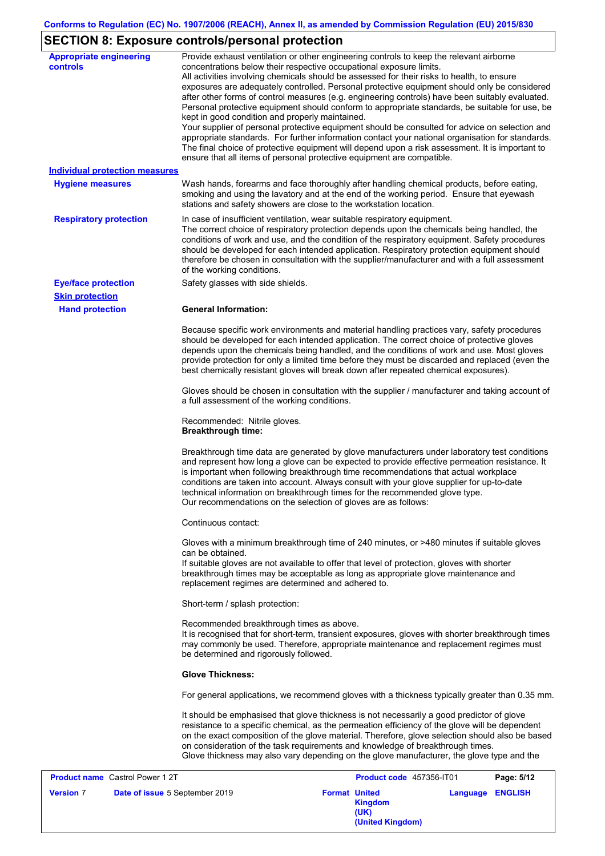# **SECTION 8: Exposure controls/personal protection**

| <b>Appropriate engineering</b><br>controls<br><b>Individual protection measures</b><br><b>Hygiene measures</b><br><b>Respiratory protection</b> | Provide exhaust ventilation or other engineering controls to keep the relevant airborne<br>concentrations below their respective occupational exposure limits.<br>All activities involving chemicals should be assessed for their risks to health, to ensure<br>exposures are adequately controlled. Personal protective equipment should only be considered<br>after other forms of control measures (e.g. engineering controls) have been suitably evaluated.<br>Personal protective equipment should conform to appropriate standards, be suitable for use, be<br>kept in good condition and properly maintained.<br>Your supplier of personal protective equipment should be consulted for advice on selection and<br>appropriate standards. For further information contact your national organisation for standards.<br>The final choice of protective equipment will depend upon a risk assessment. It is important to<br>ensure that all items of personal protective equipment are compatible.<br>Wash hands, forearms and face thoroughly after handling chemical products, before eating,<br>smoking and using the lavatory and at the end of the working period. Ensure that eyewash<br>stations and safety showers are close to the workstation location.<br>In case of insufficient ventilation, wear suitable respiratory equipment. |
|-------------------------------------------------------------------------------------------------------------------------------------------------|-----------------------------------------------------------------------------------------------------------------------------------------------------------------------------------------------------------------------------------------------------------------------------------------------------------------------------------------------------------------------------------------------------------------------------------------------------------------------------------------------------------------------------------------------------------------------------------------------------------------------------------------------------------------------------------------------------------------------------------------------------------------------------------------------------------------------------------------------------------------------------------------------------------------------------------------------------------------------------------------------------------------------------------------------------------------------------------------------------------------------------------------------------------------------------------------------------------------------------------------------------------------------------------------------------------------------------------------------------|
|                                                                                                                                                 | The correct choice of respiratory protection depends upon the chemicals being handled, the<br>conditions of work and use, and the condition of the respiratory equipment. Safety procedures<br>should be developed for each intended application. Respiratory protection equipment should<br>therefore be chosen in consultation with the supplier/manufacturer and with a full assessment<br>of the working conditions.                                                                                                                                                                                                                                                                                                                                                                                                                                                                                                                                                                                                                                                                                                                                                                                                                                                                                                                            |
| <b>Eye/face protection</b><br><b>Skin protection</b>                                                                                            | Safety glasses with side shields.                                                                                                                                                                                                                                                                                                                                                                                                                                                                                                                                                                                                                                                                                                                                                                                                                                                                                                                                                                                                                                                                                                                                                                                                                                                                                                                   |
| <b>Hand protection</b>                                                                                                                          | <b>General Information:</b>                                                                                                                                                                                                                                                                                                                                                                                                                                                                                                                                                                                                                                                                                                                                                                                                                                                                                                                                                                                                                                                                                                                                                                                                                                                                                                                         |
|                                                                                                                                                 | Because specific work environments and material handling practices vary, safety procedures<br>should be developed for each intended application. The correct choice of protective gloves<br>depends upon the chemicals being handled, and the conditions of work and use. Most gloves<br>provide protection for only a limited time before they must be discarded and replaced (even the<br>best chemically resistant gloves will break down after repeated chemical exposures).                                                                                                                                                                                                                                                                                                                                                                                                                                                                                                                                                                                                                                                                                                                                                                                                                                                                    |
|                                                                                                                                                 | Gloves should be chosen in consultation with the supplier / manufacturer and taking account of<br>a full assessment of the working conditions.                                                                                                                                                                                                                                                                                                                                                                                                                                                                                                                                                                                                                                                                                                                                                                                                                                                                                                                                                                                                                                                                                                                                                                                                      |
|                                                                                                                                                 | Recommended: Nitrile gloves.<br><b>Breakthrough time:</b>                                                                                                                                                                                                                                                                                                                                                                                                                                                                                                                                                                                                                                                                                                                                                                                                                                                                                                                                                                                                                                                                                                                                                                                                                                                                                           |
|                                                                                                                                                 | Breakthrough time data are generated by glove manufacturers under laboratory test conditions<br>and represent how long a glove can be expected to provide effective permeation resistance. It<br>is important when following breakthrough time recommendations that actual workplace<br>conditions are taken into account. Always consult with your glove supplier for up-to-date<br>technical information on breakthrough times for the recommended glove type.<br>Our recommendations on the selection of gloves are as follows:                                                                                                                                                                                                                                                                                                                                                                                                                                                                                                                                                                                                                                                                                                                                                                                                                  |
|                                                                                                                                                 | Continuous contact:                                                                                                                                                                                                                                                                                                                                                                                                                                                                                                                                                                                                                                                                                                                                                                                                                                                                                                                                                                                                                                                                                                                                                                                                                                                                                                                                 |
|                                                                                                                                                 | Gloves with a minimum breakthrough time of 240 minutes, or >480 minutes if suitable gloves<br>can be obtained.<br>If suitable gloves are not available to offer that level of protection, gloves with shorter<br>breakthrough times may be acceptable as long as appropriate glove maintenance and<br>replacement regimes are determined and adhered to.                                                                                                                                                                                                                                                                                                                                                                                                                                                                                                                                                                                                                                                                                                                                                                                                                                                                                                                                                                                            |
|                                                                                                                                                 | Short-term / splash protection:                                                                                                                                                                                                                                                                                                                                                                                                                                                                                                                                                                                                                                                                                                                                                                                                                                                                                                                                                                                                                                                                                                                                                                                                                                                                                                                     |
|                                                                                                                                                 | Recommended breakthrough times as above.<br>It is recognised that for short-term, transient exposures, gloves with shorter breakthrough times<br>may commonly be used. Therefore, appropriate maintenance and replacement regimes must<br>be determined and rigorously followed.                                                                                                                                                                                                                                                                                                                                                                                                                                                                                                                                                                                                                                                                                                                                                                                                                                                                                                                                                                                                                                                                    |
|                                                                                                                                                 | <b>Glove Thickness:</b>                                                                                                                                                                                                                                                                                                                                                                                                                                                                                                                                                                                                                                                                                                                                                                                                                                                                                                                                                                                                                                                                                                                                                                                                                                                                                                                             |
|                                                                                                                                                 | For general applications, we recommend gloves with a thickness typically greater than 0.35 mm.                                                                                                                                                                                                                                                                                                                                                                                                                                                                                                                                                                                                                                                                                                                                                                                                                                                                                                                                                                                                                                                                                                                                                                                                                                                      |
|                                                                                                                                                 | It should be emphasised that glove thickness is not necessarily a good predictor of glove<br>resistance to a specific chemical, as the permeation efficiency of the glove will be dependent<br>on the exact composition of the glove material. Therefore, glove selection should also be based<br>on consideration of the task requirements and knowledge of breakthrough times.<br>Glove thickness may also vary depending on the glove manufacturer, the glove type and the                                                                                                                                                                                                                                                                                                                                                                                                                                                                                                                                                                                                                                                                                                                                                                                                                                                                       |

| <b>Product name</b> Castrol Power 1 2T |                                |                      | Product code 457356-IT01            |          | Page: 5/12     |
|----------------------------------------|--------------------------------|----------------------|-------------------------------------|----------|----------------|
| <b>Version 7</b>                       | Date of issue 5 September 2019 | <b>Format United</b> | Kingdom<br>(UK)<br>(United Kingdom) | Language | <b>ENGLISH</b> |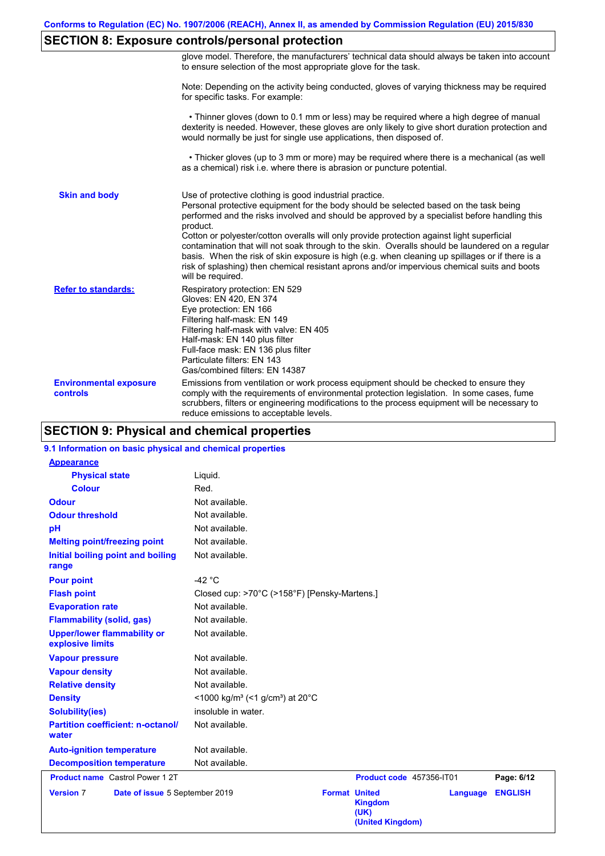## **SECTION 8: Exposure controls/personal protection**

|                                           | glove model. Therefore, the manufacturers' technical data should always be taken into account<br>to ensure selection of the most appropriate glove for the task.                                                                                                                                                                                                                                                                                                                                                                                                                                                                                                                      |
|-------------------------------------------|---------------------------------------------------------------------------------------------------------------------------------------------------------------------------------------------------------------------------------------------------------------------------------------------------------------------------------------------------------------------------------------------------------------------------------------------------------------------------------------------------------------------------------------------------------------------------------------------------------------------------------------------------------------------------------------|
|                                           | Note: Depending on the activity being conducted, gloves of varying thickness may be required<br>for specific tasks. For example:                                                                                                                                                                                                                                                                                                                                                                                                                                                                                                                                                      |
|                                           | • Thinner gloves (down to 0.1 mm or less) may be required where a high degree of manual<br>dexterity is needed. However, these gloves are only likely to give short duration protection and<br>would normally be just for single use applications, then disposed of.                                                                                                                                                                                                                                                                                                                                                                                                                  |
|                                           | • Thicker gloves (up to 3 mm or more) may be required where there is a mechanical (as well<br>as a chemical) risk i.e. where there is abrasion or puncture potential.                                                                                                                                                                                                                                                                                                                                                                                                                                                                                                                 |
| <b>Skin and body</b>                      | Use of protective clothing is good industrial practice.<br>Personal protective equipment for the body should be selected based on the task being<br>performed and the risks involved and should be approved by a specialist before handling this<br>product.<br>Cotton or polyester/cotton overalls will only provide protection against light superficial<br>contamination that will not soak through to the skin. Overalls should be laundered on a regular<br>basis. When the risk of skin exposure is high (e.g. when cleaning up spillages or if there is a<br>risk of splashing) then chemical resistant aprons and/or impervious chemical suits and boots<br>will be required. |
| <b>Refer to standards:</b>                | Respiratory protection: EN 529<br>Gloves: EN 420, EN 374<br>Eye protection: EN 166<br>Filtering half-mask: EN 149<br>Filtering half-mask with valve: EN 405<br>Half-mask: EN 140 plus filter<br>Full-face mask: EN 136 plus filter<br>Particulate filters: EN 143<br>Gas/combined filters: EN 14387                                                                                                                                                                                                                                                                                                                                                                                   |
| <b>Environmental exposure</b><br>controls | Emissions from ventilation or work process equipment should be checked to ensure they<br>comply with the requirements of environmental protection legislation. In some cases, fume<br>scrubbers, filters or engineering modifications to the process equipment will be necessary to<br>reduce emissions to acceptable levels.                                                                                                                                                                                                                                                                                                                                                         |

## **SECTION 9: Physical and chemical properties**

## **9.1 Information on basic physical and chemical properties**

| <b>Appearance</b>                                      |                                                                              |
|--------------------------------------------------------|------------------------------------------------------------------------------|
| <b>Physical state</b>                                  | Liquid.                                                                      |
| <b>Colour</b>                                          | Red.                                                                         |
| <b>Odour</b>                                           | Not available.                                                               |
| <b>Odour threshold</b>                                 | Not available.                                                               |
| pH                                                     | Not available.                                                               |
| <b>Melting point/freezing point</b>                    | Not available.                                                               |
| Initial boiling point and boiling<br>range             | Not available.                                                               |
| <b>Pour point</b>                                      | -42 $\degree$ C                                                              |
| <b>Flash point</b>                                     | Closed cup: >70°C (>158°F) [Pensky-Martens.]                                 |
| <b>Evaporation rate</b>                                | Not available.                                                               |
| <b>Flammability (solid, gas)</b>                       | Not available.                                                               |
| <b>Upper/lower flammability or</b><br>explosive limits | Not available.                                                               |
| <b>Vapour pressure</b>                                 | Not available.                                                               |
| <b>Vapour density</b>                                  | Not available.                                                               |
| <b>Relative density</b>                                | Not available.                                                               |
| <b>Density</b>                                         | <1000 kg/m <sup>3</sup> (<1 g/cm <sup>3</sup> ) at 20 <sup>°</sup> C         |
| <b>Solubility(ies)</b>                                 | insoluble in water.                                                          |
| <b>Partition coefficient: n-octanol/</b><br>water      | Not available.                                                               |
| <b>Auto-ignition temperature</b>                       | Not available.                                                               |
| <b>Decomposition temperature</b>                       | Not available.                                                               |
| <b>Product name</b> Castrol Power 1 2T                 | Product code 457356-IT01<br>Page: 6/12                                       |
| <b>Version 7</b><br>Date of issue 5 September 2019     | <b>Format United</b><br><b>ENGLISH</b><br>Language<br><b>Kingdom</b><br>(UK) |

**(United Kingdom)**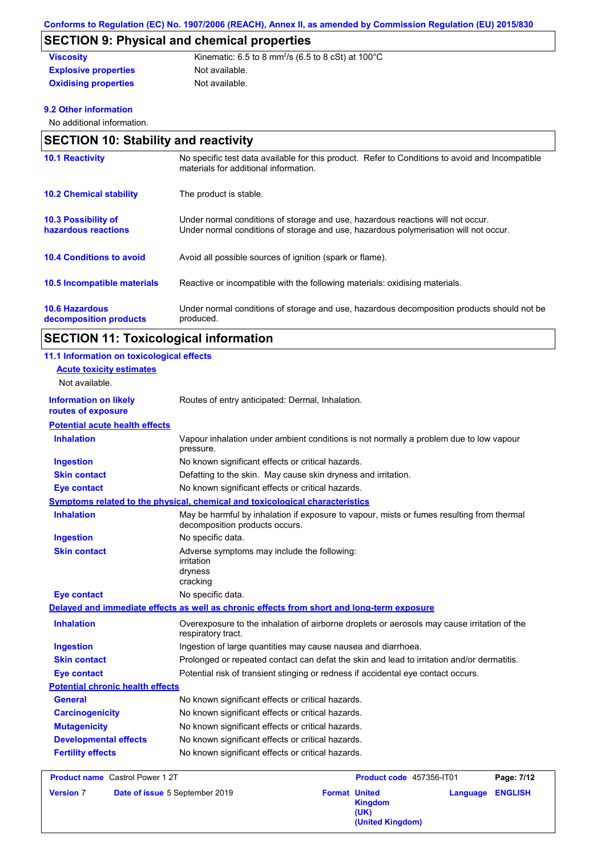## **SECTION 9: Physical and chemical properties**

#### Not available. **Viscosity Kinematic: 6.5 to 8 mm<sup>2</sup>/s (6.5 to 8 cSt) at 100°C Explosive properties Oxidising properties** Not available.

## **9.2 Other information**

No additional information.

| <b>SECTION 10: Stability and reactivity</b>       |                                                                                                                                                                         |  |  |  |
|---------------------------------------------------|-------------------------------------------------------------------------------------------------------------------------------------------------------------------------|--|--|--|
| <b>10.1 Reactivity</b>                            | No specific test data available for this product. Refer to Conditions to avoid and Incompatible<br>materials for additional information.                                |  |  |  |
| <b>10.2 Chemical stability</b>                    | The product is stable.                                                                                                                                                  |  |  |  |
| <b>10.3 Possibility of</b><br>hazardous reactions | Under normal conditions of storage and use, hazardous reactions will not occur.<br>Under normal conditions of storage and use, hazardous polymerisation will not occur. |  |  |  |
| <b>10.4 Conditions to avoid</b>                   | Avoid all possible sources of ignition (spark or flame).                                                                                                                |  |  |  |
| 10.5 Incompatible materials                       | Reactive or incompatible with the following materials: oxidising materials.                                                                                             |  |  |  |
| <b>10.6 Hazardous</b><br>decomposition products   | Under normal conditions of storage and use, hazardous decomposition products should not be<br>produced.                                                                 |  |  |  |

| <b>SECTION 11: Toxicological information</b> |  |
|----------------------------------------------|--|
|----------------------------------------------|--|

| 11.1 Information on toxicological effects          |                                                                                                                             |
|----------------------------------------------------|-----------------------------------------------------------------------------------------------------------------------------|
| <b>Acute toxicity estimates</b>                    |                                                                                                                             |
| Not available.                                     |                                                                                                                             |
| <b>Information on likely</b><br>routes of exposure | Routes of entry anticipated: Dermal, Inhalation.                                                                            |
| <b>Potential acute health effects</b>              |                                                                                                                             |
| <b>Inhalation</b>                                  | Vapour inhalation under ambient conditions is not normally a problem due to low vapour<br>pressure.                         |
| <b>Ingestion</b>                                   | No known significant effects or critical hazards.                                                                           |
| <b>Skin contact</b>                                | Defatting to the skin. May cause skin dryness and irritation.                                                               |
| <b>Eye contact</b>                                 | No known significant effects or critical hazards.                                                                           |
|                                                    | Symptoms related to the physical, chemical and toxicological characteristics                                                |
| <b>Inhalation</b>                                  | May be harmful by inhalation if exposure to vapour, mists or fumes resulting from thermal<br>decomposition products occurs. |
| <b>Ingestion</b>                                   | No specific data.                                                                                                           |
| <b>Skin contact</b>                                | Adverse symptoms may include the following:<br>irritation<br>dryness<br>cracking                                            |
| <b>Eye contact</b>                                 | No specific data.                                                                                                           |
|                                                    | Delayed and immediate effects as well as chronic effects from short and long-term exposure                                  |
| <b>Inhalation</b>                                  | Overexposure to the inhalation of airborne droplets or aerosols may cause irritation of the<br>respiratory tract.           |
| <b>Ingestion</b>                                   | Ingestion of large quantities may cause nausea and diarrhoea.                                                               |
| <b>Skin contact</b>                                | Prolonged or repeated contact can defat the skin and lead to irritation and/or dermatitis.                                  |
| <b>Eye contact</b>                                 | Potential risk of transient stinging or redness if accidental eye contact occurs.                                           |
| <b>Potential chronic health effects</b>            |                                                                                                                             |
| General                                            | No known significant effects or critical hazards.                                                                           |
| <b>Carcinogenicity</b>                             | No known significant effects or critical hazards.                                                                           |
| <b>Mutagenicity</b>                                | No known significant effects or critical hazards.                                                                           |
| <b>Developmental effects</b>                       | No known significant effects or critical hazards.                                                                           |
| <b>Fertility effects</b>                           | No known significant effects or critical hazards.                                                                           |
|                                                    |                                                                                                                             |

| <b>Product name</b> Castrol Power 1 2T |                                | Product code 457356-IT01                                           |                         | Page: 7/12 |  |
|----------------------------------------|--------------------------------|--------------------------------------------------------------------|-------------------------|------------|--|
| <b>Version 7</b>                       | Date of issue 5 September 2019 | <b>Format United</b><br><b>Kingdom</b><br>(UK)<br>(United Kingdom) | <b>Language ENGLISH</b> |            |  |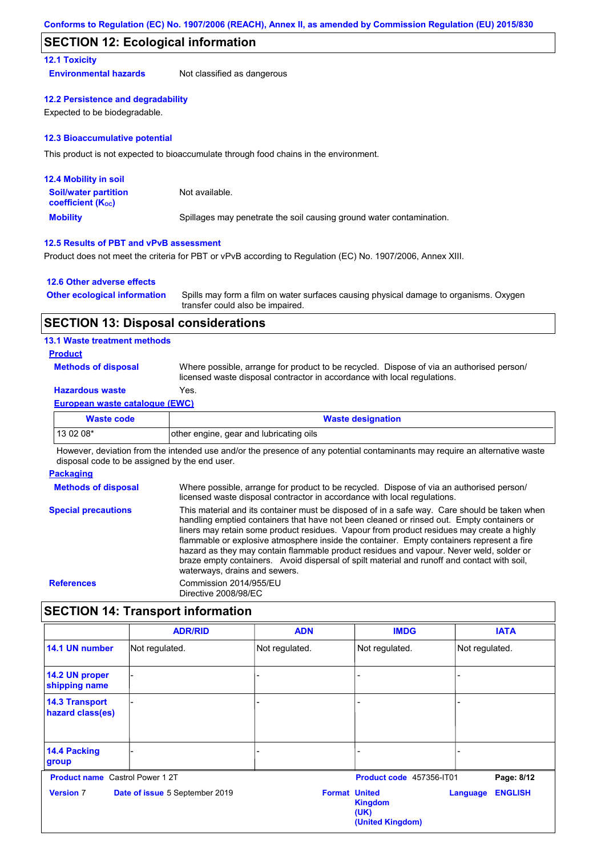## **SECTION 12: Ecological information**

### **12.1 Toxicity**

**Environmental hazards** Not classified as dangerous

### **12.2 Persistence and degradability**

Expected to be biodegradable.

#### **12.3 Bioaccumulative potential**

This product is not expected to bioaccumulate through food chains in the environment.

| <b>12.4 Mobility in soil</b>                            |                                                                      |
|---------------------------------------------------------|----------------------------------------------------------------------|
| <b>Soil/water partition</b><br><b>coefficient (Koc)</b> | Not available.                                                       |
| <b>Mobility</b>                                         | Spillages may penetrate the soil causing ground water contamination. |

#### **12.5 Results of PBT and vPvB assessment**

Product does not meet the criteria for PBT or vPvB according to Regulation (EC) No. 1907/2006, Annex XIII.

#### **12.6 Other adverse effects**

| <b>Other ecological information</b> | Spills may form a film on water surfaces causing physical damage to organisms. Oxygen |
|-------------------------------------|---------------------------------------------------------------------------------------|
|                                     | transfer could also be impaired.                                                      |

### **SECTION 13: Disposal considerations**

### **13.1 Waste treatment methods**

### **Product**

**Methods of disposal**

Where possible, arrange for product to be recycled. Dispose of via an authorised person/ licensed waste disposal contractor in accordance with local regulations.

## **Hazardous waste** Yes.

#### **European waste catalogue (EWC)**

| Waste code | <b>Waste designation</b>                |
|------------|-----------------------------------------|
| 13 02 08*  | other engine, gear and lubricating oils |

However, deviation from the intended use and/or the presence of any potential contaminants may require an alternative waste disposal code to be assigned by the end user.

#### **Packaging**

**Methods of disposal Special precautions** Where possible, arrange for product to be recycled. Dispose of via an authorised person/ licensed waste disposal contractor in accordance with local regulations. This material and its container must be disposed of in a safe way. Care should be taken when handling emptied containers that have not been cleaned or rinsed out. Empty containers or liners may retain some product residues. Vapour from product residues may create a highly flammable or explosive atmosphere inside the container. Empty containers represent a fire hazard as they may contain flammable product residues and vapour. Never weld, solder or braze empty containers. Avoid dispersal of spilt material and runoff and contact with soil, waterways, drains and sewers. **References** Commission 2014/955/EU Directive 2008/98/EC

## **SECTION 14: Transport information**

|                                           | <b>ADR/RID</b>                 | <b>ADN</b>           | <b>IMDG</b>                                | <b>IATA</b>                       |
|-------------------------------------------|--------------------------------|----------------------|--------------------------------------------|-----------------------------------|
| 14.1 UN number                            | Not regulated.                 | Not regulated.       | Not regulated.                             | Not regulated.                    |
| 14.2 UN proper<br>shipping name           |                                |                      |                                            |                                   |
| <b>14.3 Transport</b><br>hazard class(es) |                                |                      |                                            |                                   |
| 14.4 Packing<br>group                     |                                |                      |                                            |                                   |
| <b>Product name</b> Castrol Power 1 2T    |                                |                      | Product code 457356-IT01                   | Page: 8/12                        |
| <b>Version 7</b>                          | Date of issue 5 September 2019 | <b>Format United</b> | <b>Kingdom</b><br>(UK)<br>(United Kingdom) | <b>ENGLISH</b><br><b>Language</b> |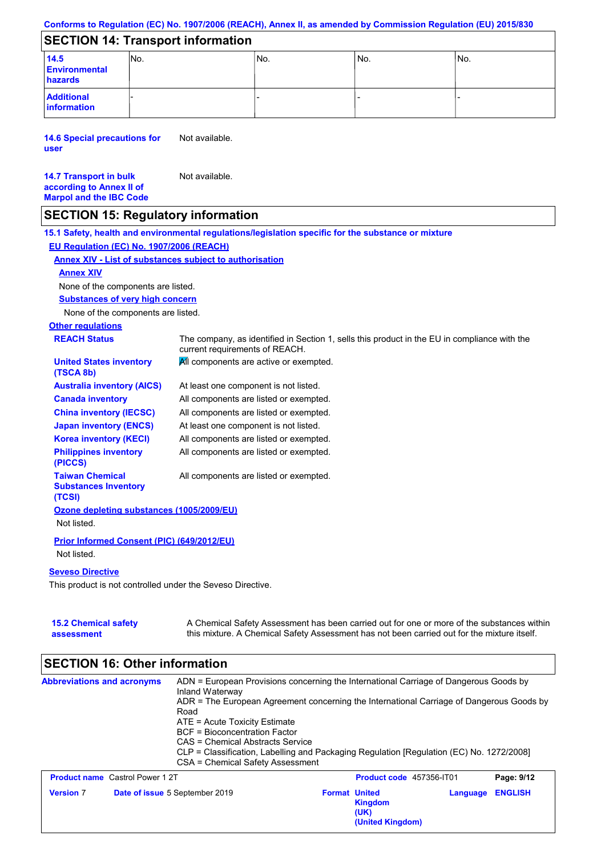|  | Conforms to Regulation (EC) No. 1907/2006 (REACH), Annex II, as amended by Commission Regulation (EU) 2015/830 |  |
|--|----------------------------------------------------------------------------------------------------------------|--|
|--|----------------------------------------------------------------------------------------------------------------|--|

## **SECTION 14: Transport information**

| 14.5<br><b>Environmental</b><br>hazards | INo. | No. | INo. | No. |
|-----------------------------------------|------|-----|------|-----|
| <b>Additional</b><br>information        |      |     |      |     |

**14.6 Special precautions for user** Not available.

| <b>14.7 Transport in bulk</b>  | Not available. |
|--------------------------------|----------------|
| according to Annex II of       |                |
| <b>Marpol and the IBC Code</b> |                |

## **SECTION 15: Regulatory information**

|                                                                 | 15.1 Safety, health and environmental regulations/legislation specific for the substance or mixture                            |
|-----------------------------------------------------------------|--------------------------------------------------------------------------------------------------------------------------------|
| EU Regulation (EC) No. 1907/2006 (REACH)                        |                                                                                                                                |
| <b>Annex XIV - List of substances subject to authorisation</b>  |                                                                                                                                |
| <b>Annex XIV</b>                                                |                                                                                                                                |
| None of the components are listed.                              |                                                                                                                                |
| <b>Substances of very high concern</b>                          |                                                                                                                                |
| None of the components are listed.                              |                                                                                                                                |
| <b>Other regulations</b>                                        |                                                                                                                                |
| <b>REACH Status</b>                                             | The company, as identified in Section 1, sells this product in the EU in compliance with the<br>current requirements of REACH. |
| <b>United States inventory</b><br>(TSCA 8b)                     | All components are active or exempted.                                                                                         |
| <b>Australia inventory (AICS)</b>                               | At least one component is not listed.                                                                                          |
| <b>Canada inventory</b>                                         | All components are listed or exempted.                                                                                         |
| <b>China inventory (IECSC)</b>                                  | All components are listed or exempted.                                                                                         |
| <b>Japan inventory (ENCS)</b>                                   | At least one component is not listed.                                                                                          |
| <b>Korea inventory (KECI)</b>                                   | All components are listed or exempted.                                                                                         |
| <b>Philippines inventory</b><br>(PICCS)                         | All components are listed or exempted.                                                                                         |
| <b>Taiwan Chemical</b><br><b>Substances Inventory</b><br>(TCSI) | All components are listed or exempted.                                                                                         |
| Ozone depleting substances (1005/2009/EU)                       |                                                                                                                                |
| Not listed.                                                     |                                                                                                                                |
| Prior Informed Consent (PIC) (649/2012/EU)                      |                                                                                                                                |
| Not listed.                                                     |                                                                                                                                |
| <b>Seveso Directive</b>                                         |                                                                                                                                |
| This product is not controlled under the Seveso Directive.      |                                                                                                                                |
|                                                                 |                                                                                                                                |
|                                                                 |                                                                                                                                |

**15.2 Chemical safety assessment** A Chemical Safety Assessment has been carried out for one or more of the substances within this mixture. A Chemical Safety Assessment has not been carried out for the mixture itself.

#### **SECTION 16: Other information Abbreviations and acronyms** ADN = European Provisions concerning the International Carriage of Dangerous Goods by Inland Waterway ADR = The European Agreement concerning the International Carriage of Dangerous Goods by Road ATE = Acute Toxicity Estimate BCF = Bioconcentration Factor CAS = Chemical Abstracts Service CLP = Classification, Labelling and Packaging Regulation [Regulation (EC) No. 1272/2008] CSA = Chemical Safety Assessment **Product name** Castrol Power 1 2T **Product code** 457356-IT01 **Page: 9/12**

|                  | <b>Product name</b> Castrol Power 121 |                      | <b>Product code</b> 457356-1101     |                         | Page: 9/12 |
|------------------|---------------------------------------|----------------------|-------------------------------------|-------------------------|------------|
| <b>Version 7</b> | <b>Date of issue 5 September 2019</b> | <b>Format United</b> | Kingdom<br>(UK)<br>(United Kingdom) | <b>Language ENGLISH</b> |            |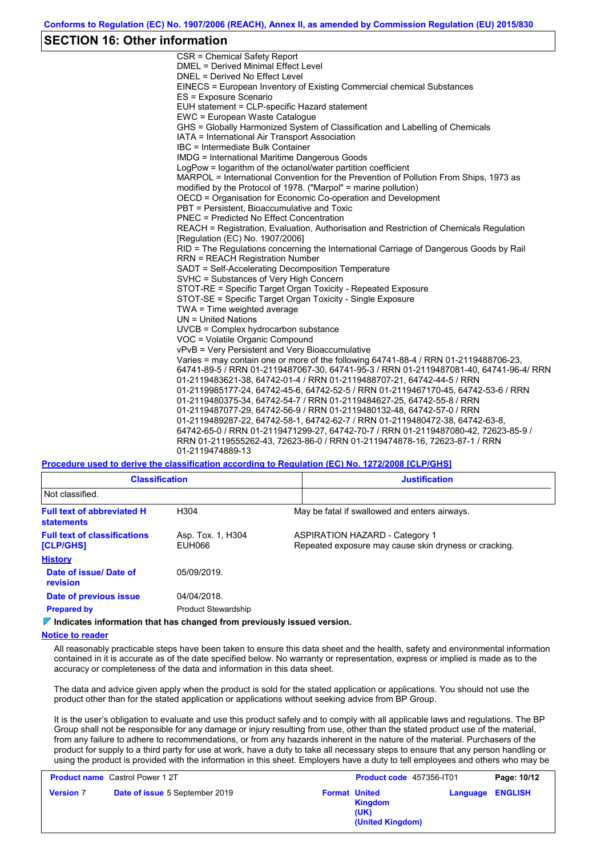## **SECTION 16: Other information**

CSR = Chemical Safety Report DMEL = Derived Minimal Effect Level DNEL = Derived No Effect Level EINECS = European Inventory of Existing Commercial chemical Substances ES = Exposure Scenario EUH statement = CLP-specific Hazard statement EWC = European Waste Catalogue GHS = Globally Harmonized System of Classification and Labelling of Chemicals IATA = International Air Transport Association IBC = Intermediate Bulk Container IMDG = International Maritime Dangerous Goods LogPow = logarithm of the octanol/water partition coefficient MARPOL = International Convention for the Prevention of Pollution From Ships, 1973 as modified by the Protocol of 1978. ("Marpol" = marine pollution) OECD = Organisation for Economic Co-operation and Development PBT = Persistent, Bioaccumulative and Toxic PNEC = Predicted No Effect Concentration REACH = Registration, Evaluation, Authorisation and Restriction of Chemicals Regulation [Regulation (EC) No. 1907/2006] RID = The Regulations concerning the International Carriage of Dangerous Goods by Rail RRN = REACH Registration Number SADT = Self-Accelerating Decomposition Temperature SVHC = Substances of Very High Concern STOT-RE = Specific Target Organ Toxicity - Repeated Exposure STOT-SE = Specific Target Organ Toxicity - Single Exposure TWA = Time weighted average UN = United Nations UVCB = Complex hydrocarbon substance VOC = Volatile Organic Compound vPvB = Very Persistent and Very Bioaccumulative Varies = may contain one or more of the following 64741-88-4 / RRN 01-2119488706-23, 64741-89-5 / RRN 01-2119487067-30, 64741-95-3 / RRN 01-2119487081-40, 64741-96-4/ RRN 01-2119483621-38, 64742-01-4 / RRN 01-2119488707-21, 64742-44-5 / RRN 01-2119985177-24, 64742-45-6, 64742-52-5 / RRN 01-2119467170-45, 64742-53-6 / RRN 01-2119480375-34, 64742-54-7 / RRN 01-2119484627-25, 64742-55-8 / RRN 01-2119487077-29, 64742-56-9 / RRN 01-2119480132-48, 64742-57-0 / RRN 01-2119489287-22, 64742-58-1, 64742-62-7 / RRN 01-2119480472-38, 64742-63-8, 64742-65-0 / RRN 01-2119471299-27, 64742-70-7 / RRN 01-2119487080-42, 72623-85-9 / RRN 01-2119555262-43, 72623-86-0 / RRN 01-2119474878-16, 72623-87-1 / RRN 01-2119474889-13

**Procedure used to derive the classification according to Regulation (EC) No. 1272/2008 [CLP/GHS]**

| <b>Classification</b><br>Not classified.                |                             | <b>Justification</b> |                                                                                                |  |
|---------------------------------------------------------|-----------------------------|----------------------|------------------------------------------------------------------------------------------------|--|
|                                                         |                             |                      |                                                                                                |  |
| <b>Full text of abbreviated H</b><br><b>statements</b>  | H <sub>304</sub>            |                      | May be fatal if swallowed and enters airways.                                                  |  |
| <b>Full text of classifications</b><br><b>[CLP/GHS]</b> | Asp. Tox. 1, H304<br>EUH066 |                      | <b>ASPIRATION HAZARD - Category 1</b><br>Repeated exposure may cause skin dryness or cracking. |  |
| <b>History</b>                                          |                             |                      |                                                                                                |  |
| Date of issue/Date of<br>revision                       | 05/09/2019.                 |                      |                                                                                                |  |
| Date of previous issue                                  | 04/04/2018.                 |                      |                                                                                                |  |
| <b>Prepared by</b>                                      | <b>Product Stewardship</b>  |                      |                                                                                                |  |

**Indicates information that has changed from previously issued version.**

#### **Notice to reader**

All reasonably practicable steps have been taken to ensure this data sheet and the health, safety and environmental information contained in it is accurate as of the date specified below. No warranty or representation, express or implied is made as to the accuracy or completeness of the data and information in this data sheet.

The data and advice given apply when the product is sold for the stated application or applications. You should not use the product other than for the stated application or applications without seeking advice from BP Group.

It is the user's obligation to evaluate and use this product safely and to comply with all applicable laws and regulations. The BP Group shall not be responsible for any damage or injury resulting from use, other than the stated product use of the material, from any failure to adhere to recommendations, or from any hazards inherent in the nature of the material. Purchasers of the product for supply to a third party for use at work, have a duty to take all necessary steps to ensure that any person handling or using the product is provided with the information in this sheet. Employers have a duty to tell employees and others who may be

| <b>Product name</b> Castrol Power 1 2T |                                | Product code 457356-IT01 |                                                                    | Page: 10/12             |  |
|----------------------------------------|--------------------------------|--------------------------|--------------------------------------------------------------------|-------------------------|--|
| <b>Version 7</b>                       | Date of issue 5 September 2019 |                          | <b>Format United</b><br><b>Kingdom</b><br>(UK)<br>(United Kingdom) | <b>Language ENGLISH</b> |  |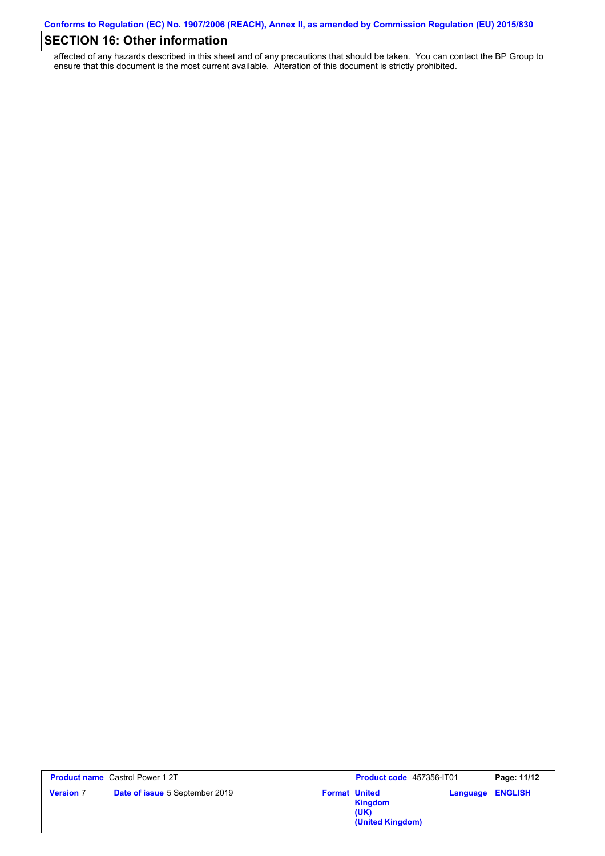# **SECTION 16: Other information**

affected of any hazards described in this sheet and of any precautions that should be taken. You can contact the BP Group to ensure that this document is the most current available. Alteration of this document is strictly prohibited.

|                  | <b>Product name</b> Castrol Power 1 2T | Product code 457356-IT01                                           |          | Page: 11/12    |
|------------------|----------------------------------------|--------------------------------------------------------------------|----------|----------------|
| <b>Version 7</b> | Date of issue 5 September 2019         | <b>Format United</b><br><b>Kingdom</b><br>(UK)<br>(United Kingdom) | Language | <b>ENGLISH</b> |